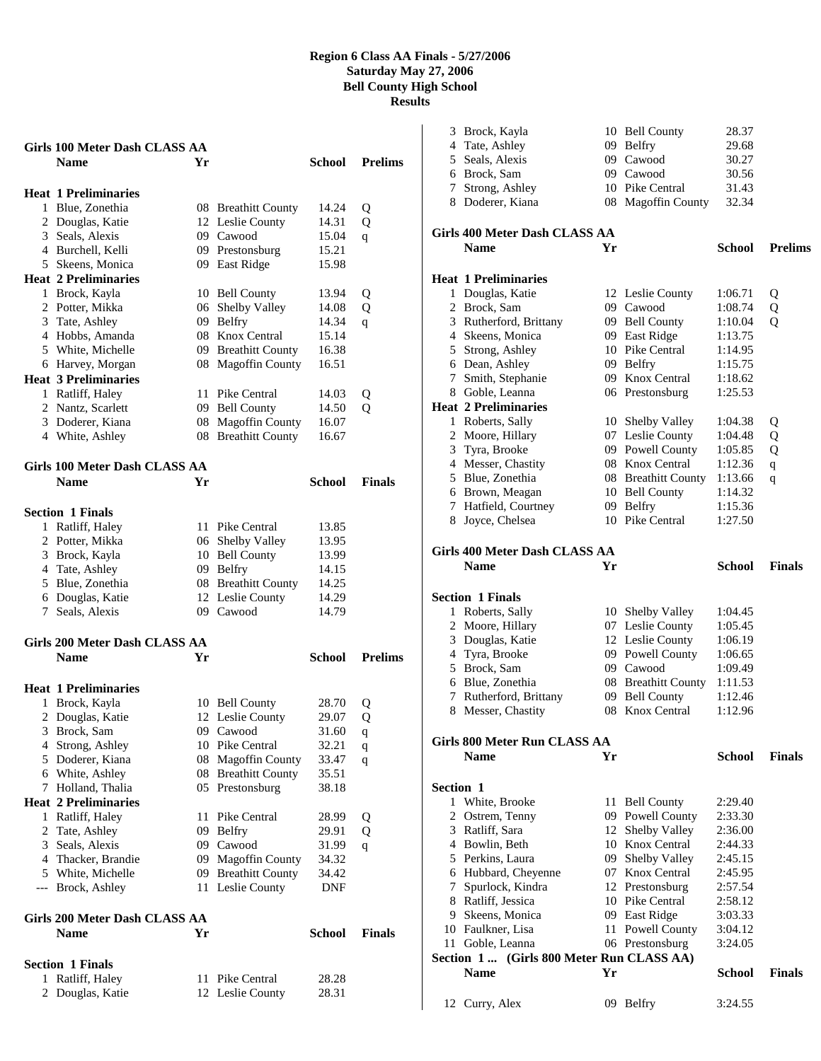| <b>Girls 100 Meter Dash CLASS AA</b>           |    |                                               |                |                |
|------------------------------------------------|----|-----------------------------------------------|----------------|----------------|
| <b>Name</b>                                    | Yr |                                               | School         | <b>Prelims</b> |
| <b>Heat 1 Preliminaries</b>                    |    |                                               |                |                |
| 1 Blue, Zonethia                               |    | 08 Breathitt County                           | 14.24          | Q              |
| 2 Douglas, Katie                               |    | 12 Leslie County                              | 14.31          | Q              |
| 3 Seals, Alexis                                |    | 09 Cawood                                     | 15.04          | q              |
| 4 Burchell, Kelli                              |    | 09 Prestonsburg                               | 15.21          |                |
| 5 Skeens, Monica                               |    | 09 East Ridge                                 | 15.98          |                |
| <b>Heat 2 Preliminaries</b>                    |    |                                               |                |                |
| 1 Brock, Kayla                                 |    | 10 Bell County                                | 13.94          | Q              |
| 2 Potter, Mikka                                |    | 06 Shelby Valley                              | 14.08          | Q              |
| 3 Tate, Ashley                                 | 09 | Belfry                                        | 14.34          | q              |
| 4 Hobbs, Amanda                                | 08 | Knox Central                                  | 15.14          |                |
| 5 White, Michelle                              |    | 09 Breathitt County                           | 16.38          |                |
| 6 Harvey, Morgan                               |    | 08 Magoffin County                            | 16.51          |                |
| <b>Heat 3 Preliminaries</b>                    |    |                                               |                |                |
| 1 Ratliff, Haley                               | 11 | Pike Central                                  | 14.03          | Q              |
| 2 Nantz, Scarlett                              |    | 09 Bell County                                | 14.50          | Q              |
| 3 Doderer, Kiana                               | 08 | 08 Magoffin County<br><b>Breathitt County</b> | 16.07<br>16.67 |                |
| 4 White, Ashley                                |    |                                               |                |                |
| Girls 100 Meter Dash CLASS AA                  |    |                                               |                |                |
| <b>Name</b>                                    | Yr |                                               | School         | <b>Finals</b>  |
|                                                |    |                                               |                |                |
| <b>Section 1 Finals</b>                        |    |                                               |                |                |
| 1 Ratliff, Haley                               |    | 11 Pike Central                               | 13.85          |                |
| 2 Potter, Mikka                                |    | 06 Shelby Valley                              | 13.95          |                |
| 3 Brock, Kayla                                 |    | 10 Bell County                                | 13.99          |                |
| 4 Tate, Ashley                                 |    | 09 Belfry                                     | 14.15          |                |
| 5 Blue, Zonethia                               |    | 08 Breathitt County                           | 14.25          |                |
| 6 Douglas, Katie                               |    | 12 Leslie County                              | 14.29          |                |
| 7 Seals, Alexis                                |    | 09 Cawood                                     | 14.79          |                |
| Girls 200 Meter Dash CLASS AA                  |    |                                               |                |                |
| <b>Name</b>                                    | Yr |                                               | School         | <b>Prelims</b> |
|                                                |    |                                               |                |                |
| <b>Heat 1 Preliminaries</b>                    |    |                                               |                |                |
| 1 Brock, Kayla                                 |    | 10 Bell County                                | 28.70          | Q              |
| Douglas, Katie<br>2                            |    | 12 Leslie County                              | 29.07          | Q              |
| 3 Brock, Sam                                   |    | 09 Cawood                                     | 31.60          | $\mathbf q$    |
| 4 Strong, Ashley                               |    | 10 Pike Central                               | 32.21          | q              |
| 5 Doderer, Kiana                               |    | 08 Magoffin County                            | 33.47          | q              |
| 6 White, Ashley                                |    | 08 Breathitt County                           | 35.51          |                |
| Holland, Thalia<br>7                           |    | 05 Prestonsburg                               | 38.18          |                |
| <b>Heat 2 Preliminaries</b>                    |    |                                               |                |                |
| Ratliff, Haley<br>1                            | 11 | Pike Central<br>09 Belfry                     | 28.99          | Q              |
| 2 Tate, Ashley<br>3 Seals, Alexis              |    | 09 Cawood                                     | 29.91          | Q              |
| 4 Thacker, Brandie                             | 09 | <b>Magoffin County</b>                        | 31.99<br>34.32 | q              |
| 5 White, Michelle                              | 09 | <b>Breathitt County</b>                       | 34.42          |                |
| --- Brock, Ashley                              |    | 11 Leslie County                              | DNF            |                |
|                                                |    |                                               |                |                |
| Girls 200 Meter Dash CLASS AA                  |    |                                               |                |                |
| <b>Name</b>                                    | Yr |                                               | <b>School</b>  | <b>Finals</b>  |
|                                                |    |                                               |                |                |
| <b>Section 1 Finals</b><br>Ratliff, Haley<br>1 | 11 | Pike Central                                  | 28.28          |                |
| 2 Douglas, Katie                               |    | 12 Leslie County                              | 28.31          |                |
|                                                |    |                                               |                |                |

| 3                | Brock, Kayla<br>4 Tate, Ashley<br>5 Seals, Alexis<br>6 Brock, Sam<br>7 Strong, Ashley |    | 10 Bell County<br>09 Belfry<br>09 Cawood<br>09 Cawood<br>10 Pike Central | 28.37<br>29.68<br>30.27<br>30.56<br>31.43 |                |
|------------------|---------------------------------------------------------------------------------------|----|--------------------------------------------------------------------------|-------------------------------------------|----------------|
|                  | 8 Doderer, Kiana<br>Girls 400 Meter Dash CLASS AA<br><b>Name</b>                      | Yr | 08 Magoffin County                                                       | 32.34<br>School                           | <b>Prelims</b> |
|                  |                                                                                       |    |                                                                          |                                           |                |
| 1                | Heat 1 Preliminaries<br>Douglas, Katie                                                |    |                                                                          |                                           |                |
|                  | 2 Brock, Sam                                                                          |    | 12 Leslie County<br>09 Cawood                                            | 1:06.71<br>1:08.74                        | Q<br>Q         |
|                  | 3 Rutherford, Brittany                                                                |    | 09 Bell County                                                           | 1:10.04                                   | Q              |
|                  | 4 Skeens, Monica                                                                      |    | 09 East Ridge                                                            | 1:13.75                                   |                |
|                  | 5 Strong, Ashley                                                                      |    | 10 Pike Central                                                          | 1:14.95                                   |                |
|                  | 6 Dean, Ashley                                                                        |    | 09 Belfry                                                                | 1:15.75                                   |                |
|                  | 7 Smith, Stephanie                                                                    |    | 09 Knox Central                                                          | 1:18.62                                   |                |
|                  | 8 Goble, Leanna                                                                       |    | 06 Prestonsburg                                                          | 1:25.53                                   |                |
|                  | <b>Heat 2 Preliminaries</b>                                                           |    |                                                                          |                                           |                |
|                  | 1 Roberts, Sally                                                                      |    | 10 Shelby Valley                                                         | 1:04.38                                   | Q              |
|                  | 2 Moore, Hillary                                                                      |    | 07 Leslie County                                                         | 1:04.48                                   | Q              |
|                  | 3 Tyra, Brooke                                                                        |    | 09 Powell County                                                         | 1:05.85                                   | Q              |
|                  | 4 Messer, Chastity                                                                    |    | 08 Knox Central                                                          | 1:12.36                                   | $\mathbf{q}$   |
|                  | 5 Blue, Zonethia                                                                      |    | 08 Breathitt County                                                      | 1:13.66                                   | q              |
|                  | 6 Brown, Meagan                                                                       |    | 10 Bell County                                                           | 1:14.32                                   |                |
|                  | 7 Hatfield, Courtney                                                                  |    | 09 Belfry                                                                | 1:15.36                                   |                |
|                  | 8 Joyce, Chelsea                                                                      |    | 10 Pike Central                                                          | 1:27.50                                   |                |
|                  | Girls 400 Meter Dash CLASS AA                                                         |    |                                                                          |                                           |                |
|                  | <b>Name</b>                                                                           | Yr |                                                                          | School                                    | <b>Finals</b>  |
|                  |                                                                                       |    |                                                                          |                                           |                |
|                  | <b>Section 1 Finals</b>                                                               |    |                                                                          |                                           |                |
| 1                | Roberts, Sally                                                                        |    | 10 Shelby Valley                                                         | 1:04.45                                   |                |
|                  | 2 Moore, Hillary                                                                      |    | 07 Leslie County                                                         | 1:05.45                                   |                |
| 3                | Douglas, Katie                                                                        |    | 12 Leslie County                                                         | 1:06.19                                   |                |
| 4                | Tyra, Brooke                                                                          |    | 09 Powell County                                                         | 1:06.65                                   |                |
|                  | 5 Brock, Sam                                                                          |    | 09 Cawood                                                                | 1:09.49                                   |                |
|                  | 6 Blue, Zonethia                                                                      |    | 08 Breathitt County                                                      | 1:11.53                                   |                |
| 7                | Rutherford, Brittany                                                                  |    | 09 Bell County                                                           | 1:12.46                                   |                |
| 8                | Messer, Chastity                                                                      |    | 08 Knox Central                                                          | 1:12.96                                   |                |
|                  |                                                                                       |    |                                                                          |                                           |                |
|                  | Girls 800 Meter Run CLASS AA                                                          |    |                                                                          |                                           |                |
|                  | <b>Name</b>                                                                           | Yr |                                                                          | <b>School</b>                             | <b>Finals</b>  |
|                  |                                                                                       |    |                                                                          |                                           |                |
| <b>Section 1</b> |                                                                                       |    |                                                                          |                                           |                |
|                  | 1 White, Brooke                                                                       |    | 11 Bell County                                                           | 2:29.40                                   |                |
|                  | 2 Ostrem, Tenny<br>3 Ratliff, Sara                                                    |    | 09 Powell County<br>12 Shelby Valley                                     | 2:33.30<br>2:36.00                        |                |
|                  | 4 Bowlin, Beth                                                                        |    | 10 Knox Central                                                          | 2:44.33                                   |                |
|                  | 5 Perkins, Laura                                                                      |    | 09 Shelby Valley                                                         | 2:45.15                                   |                |
|                  | 6 Hubbard, Cheyenne                                                                   |    | 07 Knox Central                                                          | 2:45.95                                   |                |
| 7                | Spurlock, Kindra                                                                      |    | 12 Prestonsburg                                                          | 2:57.54                                   |                |
|                  | 8 Ratliff, Jessica                                                                    |    | 10 Pike Central                                                          | 2:58.12                                   |                |
|                  | 9 Skeens, Monica                                                                      |    | 09 East Ridge                                                            | 3:03.33                                   |                |
|                  | 10 Faulkner, Lisa                                                                     |    | 11 Powell County                                                         | 3:04.12                                   |                |
|                  |                                                                                       |    | 06 Prestonsburg                                                          | 3:24.05                                   |                |
|                  | 11 Goble, Leanna                                                                      |    |                                                                          |                                           |                |
|                  | Section 1 (Girls 800 Meter Run CLASS AA)                                              |    |                                                                          |                                           |                |
|                  | <b>Name</b>                                                                           | Yr |                                                                          | School                                    | <b>Finals</b>  |
|                  |                                                                                       |    |                                                                          |                                           |                |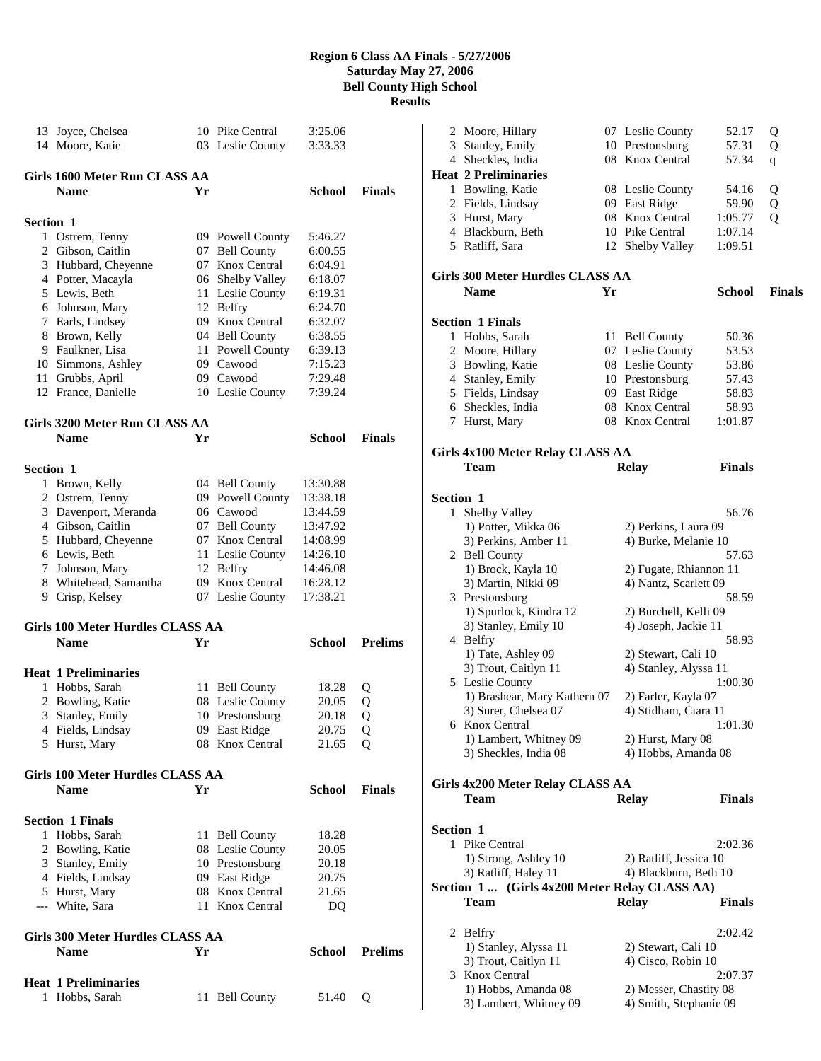| 13               | Joyce, Chelsea                          |    | 10 Pike Central  | 3:25.06       |                |
|------------------|-----------------------------------------|----|------------------|---------------|----------------|
|                  | 14 Moore, Katie                         |    | 03 Leslie County | 3:33.33       |                |
|                  | Girls 1600 Meter Run CLASS AA           |    |                  |               |                |
|                  | <b>Name</b>                             | Yr |                  | <b>School</b> | <b>Finals</b>  |
|                  |                                         |    |                  |               |                |
| Section 1        |                                         |    |                  |               |                |
|                  | 1 Ostrem, Tenny                         |    | 09 Powell County | 5:46.27       |                |
|                  | 2 Gibson, Caitlin                       |    | 07 Bell County   | 6:00.55       |                |
|                  | 3 Hubbard, Cheyenne                     |    | 07 Knox Central  | 6:04.91       |                |
|                  | 4 Potter, Macayla                       |    | 06 Shelby Valley | 6:18.07       |                |
|                  | 5 Lewis, Beth                           |    | 11 Leslie County | 6:19.31       |                |
|                  | 6 Johnson, Mary                         |    | 12 Belfry        | 6:24.70       |                |
|                  | 7 Earls, Lindsey                        |    | 09 Knox Central  | 6:32.07       |                |
|                  | 8 Brown, Kelly                          |    | 04 Bell County   | 6:38.55       |                |
|                  | 9 Faulkner, Lisa                        |    | 11 Powell County | 6:39.13       |                |
|                  | 10 Simmons, Ashley                      |    | 09 Cawood        | 7:15.23       |                |
|                  | 11 Grubbs, April                        |    | 09 Cawood        | 7:29.48       |                |
|                  | 12 France, Danielle                     |    | 10 Leslie County | 7:39.24       |                |
|                  | Girls 3200 Meter Run CLASS AA           |    |                  |               |                |
|                  | <b>Name</b>                             | Yr |                  | School        | <b>Finals</b>  |
|                  |                                         |    |                  |               |                |
| <b>Section 1</b> |                                         |    |                  |               |                |
|                  | 1 Brown, Kelly                          |    | 04 Bell County   | 13:30.88      |                |
|                  | 2 Ostrem, Tenny                         |    | 09 Powell County | 13:38.18      |                |
|                  | 3 Davenport, Meranda                    |    | 06 Cawood        | 13:44.59      |                |
|                  | 4 Gibson, Caitlin                       |    | 07 Bell County   | 13:47.92      |                |
|                  | 5 Hubbard, Cheyenne                     |    | 07 Knox Central  | 14:08.99      |                |
|                  | 6 Lewis, Beth                           |    | 11 Leslie County | 14:26.10      |                |
|                  | 7 Johnson, Mary                         |    | 12 Belfry        | 14:46.08      |                |
|                  | 8 Whitehead, Samantha                   |    | 09 Knox Central  | 16:28.12      |                |
|                  | 9 Crisp, Kelsey                         |    | 07 Leslie County | 17:38.21      |                |
|                  | <b>Girls 100 Meter Hurdles CLASS AA</b> |    |                  |               |                |
|                  | <b>Name</b>                             | Yr |                  | School        | <b>Prelims</b> |
|                  |                                         |    |                  |               |                |
|                  | <b>Heat 1 Preliminaries</b>             |    |                  |               |                |
|                  | 1 Hobbs, Sarah                          |    | 11 Bell County   | 18.28         | Q              |
|                  | 2 Bowling, Katie                        |    | 08 Leslie County | 20.05         | Q              |
| 3                | Stanley, Emily                          |    | 10 Prestonsburg  | 20.18         | о              |
|                  | 4 Fields, Lindsay                       |    | 09 East Ridge    | 20.75         | Q              |
|                  | 5 Hurst, Mary                           |    | 08 Knox Central  | 21.65         | Q              |
|                  | <b>Girls 100 Meter Hurdles CLASS AA</b> |    |                  |               |                |
|                  | <b>Name</b>                             | Yr |                  | School        | <b>Finals</b>  |
|                  |                                         |    |                  |               |                |
|                  | <b>Section 1 Finals</b>                 |    |                  |               |                |
|                  | 1 Hobbs, Sarah                          |    | 11 Bell County   | 18.28         |                |
|                  | 2 Bowling, Katie                        |    | 08 Leslie County | 20.05         |                |
|                  | 3 Stanley, Emily                        |    | 10 Prestonsburg  | 20.18         |                |
|                  | 4 Fields, Lindsay                       |    | 09 East Ridge    | 20.75         |                |
|                  | 5 Hurst, Mary                           |    | 08 Knox Central  | 21.65         |                |
|                  | --- White, Sara                         |    | 11 Knox Central  | DQ            |                |
|                  | Girls 300 Meter Hurdles CLASS AA        |    |                  |               |                |
|                  | <b>Name</b>                             | Yr |                  | School        | <b>Prelims</b> |
|                  |                                         |    |                  |               |                |
|                  | <b>Heat 1 Preliminaries</b>             |    |                  |               |                |
| 1                | Hobbs, Sarah                            |    | 11 Bell County   | 51.40         | Q              |

|                  | 2 Moore, Hillary                                | 07 Leslie County       | 52.17         | Q             |
|------------------|-------------------------------------------------|------------------------|---------------|---------------|
|                  | 3 Stanley, Emily                                | 10 Prestonsburg        | 57.31         | Q             |
|                  | 4 Sheckles, India                               | 08 Knox Central        | 57.34         | q             |
|                  | <b>Heat 2 Preliminaries</b>                     |                        |               |               |
|                  | 1 Bowling, Katie                                | 08 Leslie County       | 54.16         | Q             |
|                  | 2 Fields, Lindsay                               | 09 East Ridge          | 59.90         | Q             |
|                  | 3 Hurst, Mary                                   | 08 Knox Central        | 1:05.77       | Q             |
|                  | 4 Blackburn, Beth                               | 10 Pike Central        | 1:07.14       |               |
|                  | 5 Ratliff, Sara                                 | 12 Shelby Valley       | 1:09.51       |               |
|                  |                                                 |                        |               |               |
|                  | Girls 300 Meter Hurdles CLASS AA                |                        |               |               |
|                  | <b>Name</b><br>Yr                               |                        | <b>School</b> | <b>Finals</b> |
|                  | <b>Section 1 Finals</b>                         |                        |               |               |
|                  | 1 Hobbs, Sarah                                  | 11 Bell County         | 50.36         |               |
|                  | 2 Moore, Hillary                                | 07 Leslie County       | 53.53         |               |
|                  | 3 Bowling, Katie                                | 08 Leslie County       | 53.86         |               |
|                  | 4 Stanley, Emily                                | 10 Prestonsburg        | 57.43         |               |
|                  | 5 Fields, Lindsay                               | 09 East Ridge          | 58.83         |               |
|                  | 6 Sheckles, India                               | 08 Knox Central        | 58.93         |               |
|                  | 7 Hurst, Mary                                   | 08 Knox Central        | 1:01.87       |               |
|                  |                                                 |                        |               |               |
|                  | <b>Girls 4x100 Meter Relay CLASS AA</b>         |                        |               |               |
|                  | Team                                            | <b>Relay</b>           | <b>Finals</b> |               |
| <b>Section 1</b> |                                                 |                        |               |               |
| 1                | Shelby Valley                                   |                        | 56.76         |               |
|                  | 1) Potter, Mikka 06                             | 2) Perkins, Laura 09   |               |               |
|                  | 3) Perkins, Amber 11                            | 4) Burke, Melanie 10   |               |               |
|                  | 2 Bell County                                   |                        | 57.63         |               |
|                  | 1) Brock, Kayla 10                              | 2) Fugate, Rhiannon 11 |               |               |
|                  | 3) Martin, Nikki 09                             | 4) Nantz, Scarlett 09  |               |               |
|                  | 3 Prestonsburg                                  |                        | 58.59         |               |
|                  | 1) Spurlock, Kindra 12                          | 2) Burchell, Kelli 09  |               |               |
|                  | 3) Stanley, Emily 10                            | 4) Joseph, Jackie 11   |               |               |
|                  | 4 Belfry                                        |                        | 58.93         |               |
|                  | 1) Tate, Ashley 09                              | 2) Stewart, Cali 10    |               |               |
|                  | 3) Trout, Caitlyn 11                            | 4) Stanley, Alyssa 11  |               |               |
|                  | 5 Leslie County                                 |                        | 1:00.30       |               |
|                  | 1) Brashear, Mary Kathern 07                    | 2) Farler, Kayla 07    |               |               |
|                  | 3) Surer, Chelsea 07                            | 4) Stidham, Ciara 11   |               |               |
|                  | 6 Knox Central                                  |                        | 1:01.30       |               |
|                  | 1) Lambert, Whitney 09                          | 2) Hurst, Mary 08      |               |               |
|                  | 3) Sheckles, India 08                           | 4) Hobbs, Amanda 08    |               |               |
|                  |                                                 |                        |               |               |
|                  | Girls 4x200 Meter Relay CLASS AA<br><b>Team</b> | <b>Relay</b>           | Finals        |               |
|                  |                                                 |                        |               |               |
| <b>Section 1</b> |                                                 |                        |               |               |
|                  | 1 Pike Central                                  |                        | 2:02.36       |               |
|                  | 1) Strong, Ashley 10                            | 2) Ratliff, Jessica 10 |               |               |
|                  | 3) Ratliff, Haley 11                            | 4) Blackburn, Beth 10  |               |               |
|                  | Section 1  (Girls 4x200 Meter Relay CLASS AA)   |                        |               |               |
|                  | Team                                            | <b>Relay</b>           | Finals        |               |
|                  | 2 Belfry                                        |                        | 2:02.42       |               |
|                  | 1) Stanley, Alyssa 11                           | 2) Stewart, Cali 10    |               |               |
|                  | 3) Trout, Caitlyn 11                            | 4) Cisco, Robin 10     |               |               |
|                  | 3 Knox Central                                  |                        | 2:07.37       |               |
|                  | 1) Hobbs, Amanda 08                             | 2) Messer, Chastity 08 |               |               |
|                  | 3) Lambert, Whitney 09                          | 4) Smith, Stephanie 09 |               |               |
|                  |                                                 |                        |               |               |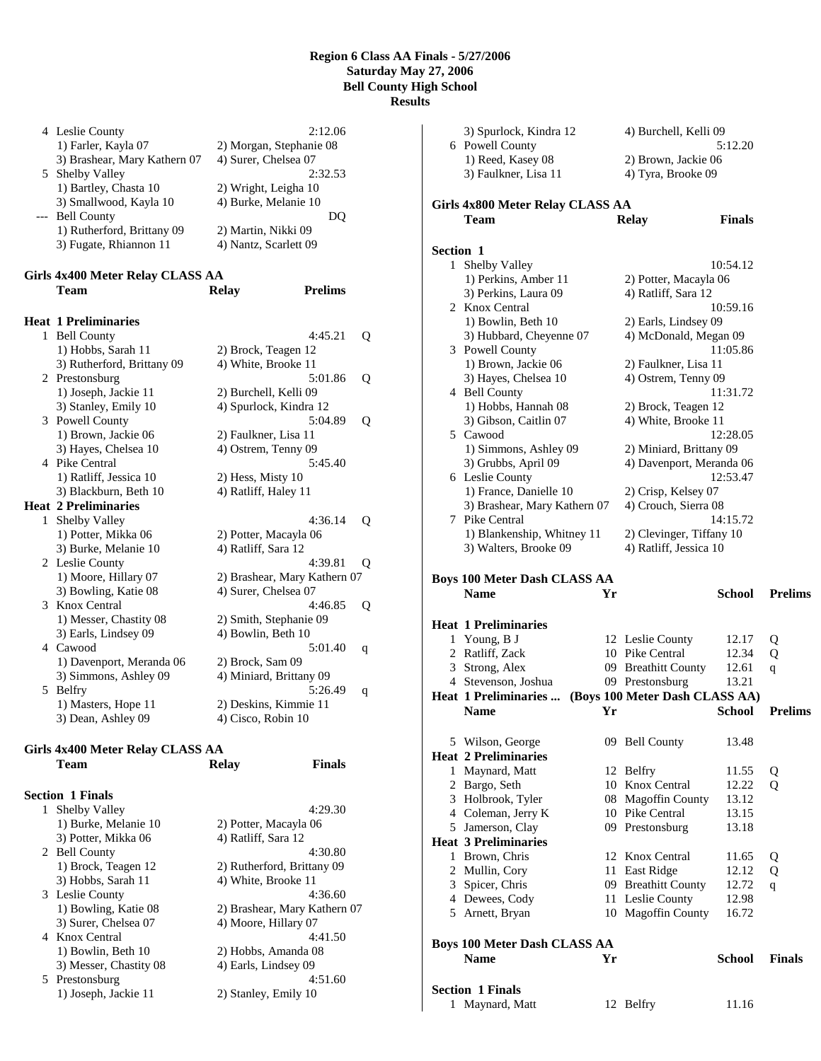|     | 4 Leslie County                  | 2:12.06                        |   |
|-----|----------------------------------|--------------------------------|---|
|     | 1) Farler, Kayla 07              | 2) Morgan, Stephanie 08        |   |
|     | 3) Brashear, Mary Kathern 07     | 4) Surer, Chelsea 07           |   |
| 5   | Shelby Valley                    | 2:32.53                        |   |
|     | 1) Bartley, Chasta 10            | 2) Wright, Leigha 10           |   |
|     | 3) Smallwood, Kayla 10           | 4) Burke, Melanie 10           |   |
| --- | <b>Bell County</b>               | DQ                             |   |
|     | 1) Rutherford, Brittany 09       | 2) Martin, Nikki 09            |   |
|     | 3) Fugate, Rhiannon 11           | 4) Nantz, Scarlett 09          |   |
|     | Girls 4x400 Meter Relay CLASS AA |                                |   |
|     | Team                             | <b>Prelims</b><br><b>Relay</b> |   |
|     |                                  |                                |   |
|     | <b>Heat 1 Preliminaries</b>      |                                |   |
| 1   | <b>Bell County</b>               | 4:45.21                        | Q |
|     | 1) Hobbs, Sarah 11               | 2) Brock, Teagen 12            |   |
|     | 3) Rutherford, Brittany 09       | 4) White, Brooke 11            |   |
|     | 2 Prestonsburg                   | 5:01.86                        | Q |
|     | 1) Joseph, Jackie 11             | 2) Burchell, Kelli 09          |   |
|     | 3) Stanley, Emily 10             | 4) Spurlock, Kindra 12         |   |
| 3   | Powell County                    | 5:04.89                        | Q |
|     | 1) Brown, Jackie 06              | 2) Faulkner, Lisa 11           |   |
|     | 3) Hayes, Chelsea 10             | 4) Ostrem, Tenny 09            |   |
|     | 4 Pike Central                   | 5:45.40                        |   |
|     | 1) Ratliff, Jessica 10           | 2) Hess, Misty 10              |   |
|     | 3) Blackburn, Beth 10            | 4) Ratliff, Haley 11           |   |
|     | <b>Heat 2 Preliminaries</b>      |                                |   |
| 1   | Shelby Valley                    | 4:36.14                        | Q |
|     | 1) Potter, Mikka 06              | 2) Potter, Macayla 06          |   |
|     | 3) Burke, Melanie 10             | 4) Ratliff, Sara 12            |   |
| 2   | Leslie County                    | 4:39.81                        | Q |
|     | 1) Moore, Hillary 07             | 2) Brashear, Mary Kathern 07   |   |
|     | 3) Bowling, Katie 08             | 4) Surer, Chelsea 07           |   |
| 3   | Knox Central                     | 4:46.85                        | Q |
|     | 1) Messer, Chastity 08           | 2) Smith, Stephanie 09         |   |
|     | 3) Earls, Lindsey 09             | 4) Bowlin, Beth 10             |   |
|     | 4 Cawood                         | 5:01.40                        | q |
|     | 1) Davenport, Meranda 06         | 2) Brock, Sam 09               |   |
|     | 3) Simmons, Ashley 09            | 4) Miniard, Brittany 09        |   |
| 5   | Belfry                           | 5:26.49                        | q |
|     | 1) Masters, Hope 11              | 2) Deskins, Kimmie 11          |   |
|     | 3) Dean, Ashley 09               | 4) Cisco, Robin 10             |   |

## **Girls 4x400 Meter Relay CLASS AA**

| Team                    | Relay                 | Finals                       |
|-------------------------|-----------------------|------------------------------|
| <b>Section 1 Finals</b> |                       |                              |
| 1 Shelby Valley         |                       | 4:29.30                      |
| 1) Burke, Melanie 10    | 2) Potter, Macayla 06 |                              |
| 3) Potter, Mikka 06     | 4) Ratliff, Sara 12   |                              |
| 2 Bell County           |                       | 4:30.80                      |
| 1) Brock, Teagen 12     |                       | 2) Rutherford, Brittany 09   |
| 3) Hobbs, Sarah 11      | 4) White, Brooke 11   |                              |
| 3 Leslie County         |                       | 4:36.60                      |
| 1) Bowling, Katie 08    |                       | 2) Brashear, Mary Kathern 07 |
| 3) Surer, Chelsea 07    | 4) Moore, Hillary 07  |                              |
| 4 Knox Central          |                       | 4:41.50                      |
| 1) Bowlin, Beth 10      | 2) Hobbs, Amanda 08   |                              |
| 3) Messer, Chastity 08  | 4) Earls, Lindsey 09  |                              |
| 5 Prestonsburg          |                       | 4:51.60                      |
| 1) Joseph, Jackie 11    | 2) Stanley, Emily 10  |                              |
|                         |                       |                              |

|                  | 3) Spurlock, Kindra 12                    |     | 4) Burchell, Kelli 09                       |                |                |
|------------------|-------------------------------------------|-----|---------------------------------------------|----------------|----------------|
|                  | 6 Powell County                           |     |                                             | 5:12.20        |                |
|                  | 1) Reed, Kasey 08<br>3) Faulkner, Lisa 11 |     | 2) Brown, Jackie 06                         |                |                |
|                  |                                           |     | 4) Tyra, Brooke 09                          |                |                |
|                  | Girls 4x800 Meter Relay CLASS AA          |     |                                             |                |                |
|                  | Team                                      |     | <b>Relay</b>                                | <b>Finals</b>  |                |
|                  |                                           |     |                                             |                |                |
| <b>Section 1</b> | 1 Shelby Valley                           |     |                                             | 10:54.12       |                |
|                  | 1) Perkins, Amber 11                      |     | 2) Potter, Macayla 06                       |                |                |
|                  | 3) Perkins, Laura 09                      |     | 4) Ratliff, Sara 12                         |                |                |
|                  | 2 Knox Central                            |     |                                             | 10:59.16       |                |
|                  | 1) Bowlin, Beth 10                        |     | 2) Earls, Lindsey 09                        |                |                |
|                  | 3) Hubbard, Cheyenne 07                   |     | 4) McDonald, Megan 09                       |                |                |
|                  | 3 Powell County                           |     |                                             | 11:05.86       |                |
|                  | 1) Brown, Jackie 06                       |     | 2) Faulkner, Lisa 11                        |                |                |
|                  | 3) Hayes, Chelsea 10                      |     | 4) Ostrem, Tenny 09                         |                |                |
|                  | 4 Bell County                             |     |                                             | 11:31.72       |                |
|                  | 1) Hobbs, Hannah 08                       |     | 2) Brock, Teagen 12                         |                |                |
|                  | 3) Gibson, Caitlin 07                     |     | 4) White, Brooke 11                         |                |                |
|                  | 5 Cawood                                  |     |                                             | 12:28.05       |                |
|                  | 1) Simmons, Ashley 09                     |     | 2) Miniard, Brittany 09                     |                |                |
|                  | 3) Grubbs, April 09                       |     | 4) Davenport, Meranda 06                    | 12:53.47       |                |
|                  | 6 Leslie County<br>1) France, Danielle 10 |     |                                             |                |                |
|                  | 3) Brashear, Mary Kathern 07              |     | 2) Crisp, Kelsey 07<br>4) Crouch, Sierra 08 |                |                |
|                  | 7 Pike Central                            |     |                                             | 14:15.72       |                |
|                  | 1) Blankenship, Whitney 11                |     | 2) Clevinger, Tiffany 10                    |                |                |
|                  | 3) Walters, Brooke 09                     |     | 4) Ratliff, Jessica 10                      |                |                |
|                  |                                           |     |                                             |                |                |
|                  |                                           |     |                                             |                |                |
|                  | <b>Boys 100 Meter Dash CLASS AA</b>       |     |                                             |                |                |
|                  | <b>Name</b>                               | Yr  |                                             | School         | <b>Prelims</b> |
|                  | <b>Heat 1 Preliminaries</b>               |     |                                             |                |                |
|                  | 1 Young, B J                              |     | 12 Leslie County                            | 12.17          | Q              |
|                  | 2 Ratliff, Zack                           |     | 10 Pike Central                             | 12.34          | Q              |
|                  | 3 Strong, Alex                            |     | 09 Breathitt County                         | 12.61          | q              |
|                  | 4 Stevenson, Joshua                       |     | 09 Prestonsburg                             | 13.21          |                |
|                  | Heat 1 Preliminaries                      |     | (Boys 100 Meter Dash CLASS AA)              |                |                |
|                  | <b>Name</b>                               | Yr  |                                             | School         | <b>Prelims</b> |
|                  | 5 Wilson, George                          |     | 09 Bell County                              | 13.48          |                |
|                  | <b>Heat 2 Preliminaries</b>               |     |                                             |                |                |
|                  | 1 Maynard, Matt                           |     | 12 Belfry                                   | 11.55          | Q              |
|                  | 2 Bargo, Seth                             |     | 10 Knox Central                             | 12.22          | Q              |
|                  | 3 Holbrook, Tyler                         | 08. | <b>Magoffin County</b>                      | 13.12          |                |
|                  | 4 Coleman, Jerry K                        |     | 10 Pike Central                             | 13.15          |                |
|                  | 5 Jamerson, Clay                          |     | 09 Prestonsburg                             | 13.18          |                |
|                  | <b>Heat 3 Preliminaries</b>               |     |                                             |                |                |
|                  | 1 Brown, Chris                            |     | 12 Knox Central                             | 11.65          | Q              |
|                  | 2 Mullin, Cory                            |     | 11 East Ridge                               | 12.12          | Q              |
|                  | 3 Spicer, Chris                           |     | 09 Breathitt County                         | 12.72          | q              |
|                  | 4 Dewees, Cody<br>5 Arnett, Bryan         |     | 11 Leslie County<br>10 Magoffin County      | 12.98<br>16.72 |                |
|                  |                                           |     |                                             |                |                |
|                  | <b>Boys 100 Meter Dash CLASS AA</b>       |     |                                             |                |                |
|                  | <b>Name</b>                               | Yr  |                                             | School         | <b>Finals</b>  |
|                  | <b>Section 1 Finals</b>                   |     |                                             |                |                |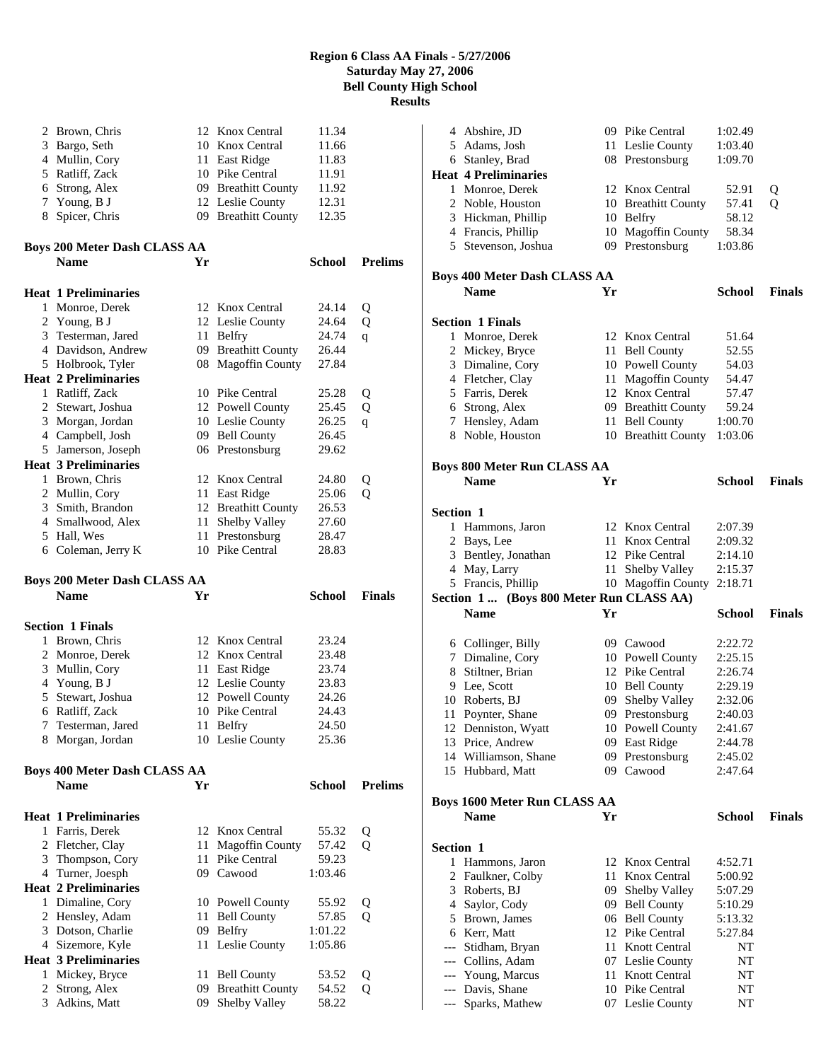| 2              | Brown, Chris                        | 12 | Knox Central                             | 11.34         |                |
|----------------|-------------------------------------|----|------------------------------------------|---------------|----------------|
| 3              | Bargo, Seth                         |    | 10 Knox Central                          | 11.66         |                |
|                | 4 Mullin, Cory                      |    | 11 East Ridge                            | 11.83         |                |
| 5              | Ratliff, Zack                       |    | 10 Pike Central                          | 11.91         |                |
|                | 6 Strong, Alex                      |    | 09 Breathitt County                      | 11.92         |                |
|                | 7 Young, B J                        |    | 12 Leslie County                         | 12.31         |                |
| 8              | Spicer, Chris                       |    | 09 Breathitt County                      | 12.35         |                |
|                | Boys 200 Meter Dash CLASS AA        |    |                                          |               |                |
|                | <b>Name</b>                         | Yr |                                          | School        | <b>Prelims</b> |
|                | Heat 1 Preliminaries                |    |                                          |               |                |
| 1              | Monroe, Derek                       |    | 12 Knox Central                          | 24.14         | Q              |
| $\overline{2}$ | Young, B J                          |    | 12 Leslie County                         | 24.64         | Q              |
|                | 3 Testerman, Jared                  |    | 11 Belfry                                | 24.74         | q              |
|                | 4 Davidson, Andrew                  |    | 09 Breathitt County                      | 26.44         |                |
|                | 5 Holbrook, Tyler                   |    | 08 Magoffin County                       | 27.84         |                |
|                | <b>Heat 2 Preliminaries</b>         |    |                                          |               |                |
|                | 1 Ratliff, Zack                     |    | 10 Pike Central                          | 25.28         | Q              |
|                | 2 Stewart, Joshua                   |    | 12 Powell County                         | 25.45         | Q              |
| 3              | Morgan, Jordan                      |    | 10 Leslie County                         | 26.25         | q              |
|                | 4 Campbell, Josh                    |    | 09 Bell County                           | 26.45         |                |
|                | 5 Jamerson, Joseph                  |    | 06 Prestonsburg                          | 29.62         |                |
|                | <b>Heat 3 Preliminaries</b>         |    |                                          |               |                |
|                | 1 Brown, Chris                      |    | 12 Knox Central                          | 24.80         | Q              |
|                | 2 Mullin, Cory                      |    | 11 East Ridge                            | 25.06         | Q              |
|                | 3 Smith, Brandon                    |    | 12 Breathitt County                      | 26.53         |                |
|                | 4 Smallwood, Alex                   | 11 | Shelby Valley                            | 27.60         |                |
| 5              | Hall, Wes                           |    | 11 Prestonsburg                          | 28.47         |                |
|                | 6 Coleman, Jerry K                  |    | 10 Pike Central                          | 28.83         |                |
|                |                                     |    |                                          |               |                |
|                | Boys 200 Meter Dash CLASS AA        |    |                                          |               |                |
|                | <b>Name</b>                         | Yr |                                          | <b>School</b> | <b>Finals</b>  |
|                | <b>Section 1 Finals</b>             |    |                                          |               |                |
|                | 1 Brown, Chris                      |    | 12 Knox Central                          | 23.24         |                |
|                | 2 Monroe, Derek                     |    | 12 Knox Central                          | 23.48         |                |
|                | 3 Mullin, Cory                      |    | 11 East Ridge                            | 23.74         |                |
|                | 4 Young, B J                        |    | 12 Leslie County                         | 23.83         |                |
| 5              | Stewart, Joshua                     |    | 12 Powell County                         | 24.26         |                |
|                | 6 Ratliff, Zack                     |    | 10 Pike Central                          | 24.43         |                |
| Τ              | Testerman, Jared                    |    | 11 Belfry                                | 24.50         |                |
| 8              | Morgan, Jordan                      |    | 10 Leslie County                         | 25.36         |                |
|                | <b>Boys 400 Meter Dash CLASS AA</b> |    |                                          |               |                |
|                | <b>Name</b>                         | Yr |                                          | <b>School</b> | <b>Prelims</b> |
|                | <b>Heat 1 Preliminaries</b>         |    |                                          |               |                |
| 1              | Farris, Derek                       |    | 12 Knox Central                          | 55.32         | Q              |
|                | 2 Fletcher, Clay                    | 11 | <b>Magoffin County</b>                   | 57.42         | Q              |
|                | 3 Thompson, Cory                    | 11 | Pike Central                             | 59.23         |                |
|                | 4 Turner, Joesph                    |    | 09 Cawood                                | 1:03.46       |                |
|                | <b>Heat 2 Preliminaries</b>         |    |                                          |               |                |
|                | 1 Dimaline, Cory                    |    | 10 Powell County                         | 55.92         | Q              |
|                | 2 Hensley, Adam                     |    | 11 Bell County                           | 57.85         | Q              |
| 3              | Dotson, Charlie                     |    | 09 Belfry                                | 1:01.22       |                |
|                | 4 Sizemore, Kyle                    |    | 11 Leslie County                         | 1:05.86       |                |
|                | <b>Heat 3 Preliminaries</b>         |    |                                          |               |                |
| 1              | Mickey, Bryce                       |    | 11 Bell County                           | 53.52         | Q              |
| 2<br>3         | Strong, Alex                        | 09 | <b>Breathitt County</b><br>Shelby Valley | 54.52         | Q              |

|                  |                                         |    | 09 Pike Central      | 1:02.49       |               |
|------------------|-----------------------------------------|----|----------------------|---------------|---------------|
|                  | 4 Abshire, JD                           |    |                      |               |               |
|                  | 5 Adams, Josh                           |    | 11 Leslie County     | 1:03.40       |               |
|                  | 6 Stanley, Brad                         |    | 08 Prestonsburg      | 1:09.70       |               |
|                  | Heat 4 Preliminaries                    |    |                      |               |               |
|                  | 1 Monroe, Derek                         |    | 12 Knox Central      | 52.91         | Q             |
|                  |                                         |    |                      |               |               |
|                  | 2 Noble, Houston                        |    | 10 Breathitt County  | 57.41         | Q             |
|                  | 3 Hickman, Phillip                      |    | 10 Belfry            | 58.12         |               |
|                  | 4 Francis, Phillip                      |    | 10 Magoffin County   | 58.34         |               |
|                  | 5 Stevenson, Joshua                     |    | 09 Prestonsburg      | 1:03.86       |               |
|                  |                                         |    |                      |               |               |
|                  |                                         |    |                      |               |               |
|                  | Boys 400 Meter Dash CLASS AA            |    |                      |               |               |
|                  | <b>Name</b>                             | Yr |                      | School        | <b>Finals</b> |
|                  |                                         |    |                      |               |               |
|                  | <b>Section 1 Finals</b>                 |    |                      |               |               |
|                  | 1 Monroe, Derek                         |    | 12 Knox Central      | 51.64         |               |
|                  | 2 Mickey, Bryce                         |    | 11 Bell County       | 52.55         |               |
|                  |                                         |    |                      |               |               |
|                  | 3 Dimaline, Cory                        |    | 10 Powell County     | 54.03         |               |
|                  | 4 Fletcher, Clay                        |    | 11 Magoffin County   | 54.47         |               |
|                  | 5 Farris, Derek                         |    | 12 Knox Central      | 57.47         |               |
|                  | 6 Strong, Alex                          |    | 09 Breathitt County  | 59.24         |               |
| 7                | Hensley, Adam                           | 11 | <b>Bell County</b>   | 1:00.70       |               |
|                  | 8 Noble, Houston                        |    | 10 Breathitt County  | 1:03.06       |               |
|                  |                                         |    |                      |               |               |
|                  |                                         |    |                      |               |               |
|                  | <b>Boys 800 Meter Run CLASS AA</b>      |    |                      |               |               |
|                  | <b>Name</b>                             | Yr |                      | <b>School</b> | <b>Finals</b> |
|                  |                                         |    |                      |               |               |
| <b>Section 1</b> |                                         |    |                      |               |               |
|                  |                                         |    |                      |               |               |
|                  | 1 Hammons, Jaron                        |    | 12 Knox Central      | 2:07.39       |               |
|                  | 2 Bays, Lee                             |    | 11 Knox Central      | 2:09.32       |               |
|                  | 3 Bentley, Jonathan                     |    | 12 Pike Central      | 2:14.10       |               |
|                  | 4 May, Larry                            | 11 | Shelby Valley        | 2:15.37       |               |
|                  | 5 Francis, Phillip                      |    | 10 Magoffin County   | 2:18.71       |               |
|                  | Section 1 (Boys 800 Meter Run CLASS AA) |    |                      |               |               |
|                  |                                         |    |                      |               |               |
|                  |                                         |    |                      |               |               |
|                  | <b>Name</b>                             | Yr |                      | School        | <b>Finals</b> |
|                  |                                         |    |                      |               |               |
|                  | 6 Collinger, Billy                      |    | 09 Cawood            | 2:22.72       |               |
|                  | 7 Dimaline, Cory                        |    | 10 Powell County     | 2:25.15       |               |
|                  | 8 Stiltner, Brian                       |    | 12 Pike Central      | 2:26.74       |               |
|                  |                                         |    |                      |               |               |
|                  | 9 Lee, Scott                            |    | 10 Bell County       | 2:29.19       |               |
|                  | 10 Roberts, BJ                          |    | 09 Shelby Valley     | 2:32.06       |               |
| 11               | Poynter, Shane                          |    | 09 Prestonsburg      | 2:40.03       |               |
|                  | 12 Denniston, Wyatt                     |    | 10 Powell County     | 2:41.67       |               |
|                  | 13 Price, Andrew                        |    | 09 East Ridge        | 2:44.78       |               |
|                  | 14 Williamson, Shane                    |    | 09 Prestonsburg      | 2:45.02       |               |
|                  | 15 Hubbard, Matt                        | 09 | Cawood               | 2:47.64       |               |
|                  |                                         |    |                      |               |               |
|                  |                                         |    |                      |               |               |
|                  | <b>Boys 1600 Meter Run CLASS AA</b>     |    |                      |               |               |
|                  | <b>Name</b>                             | Yr |                      | <b>School</b> | <b>Finals</b> |
|                  |                                         |    |                      |               |               |
| <b>Section 1</b> |                                         |    |                      |               |               |
| 1                | Hammons, Jaron                          |    | 12 Knox Central      | 4:52.71       |               |
| 2                |                                         | 11 | Knox Central         |               |               |
|                  | Faulkner, Colby                         |    |                      | 5:00.92       |               |
|                  | 3 Roberts, BJ                           |    | 09 Shelby Valley     | 5:07.29       |               |
|                  | 4 Saylor, Cody                          |    | 09 Bell County       | 5:10.29       |               |
|                  | 5 Brown, James                          |    | 06 Bell County       | 5:13.32       |               |
|                  | 6 Kerr, Matt                            |    | 12 Pike Central      | 5:27.84       |               |
| $---$            | Stidham, Bryan                          | 11 | <b>Knott Central</b> | NT            |               |
|                  | --- Collins, Adam                       | 07 | Leslie County        | NT            |               |
|                  |                                         | 11 | <b>Knott Central</b> | NT            |               |
| ---              | --- Young, Marcus                       |    | 10 Pike Central      |               |               |
| ---              | Davis, Shane<br>Sparks, Mathew          |    | 07 Leslie County     | NT<br>NT      |               |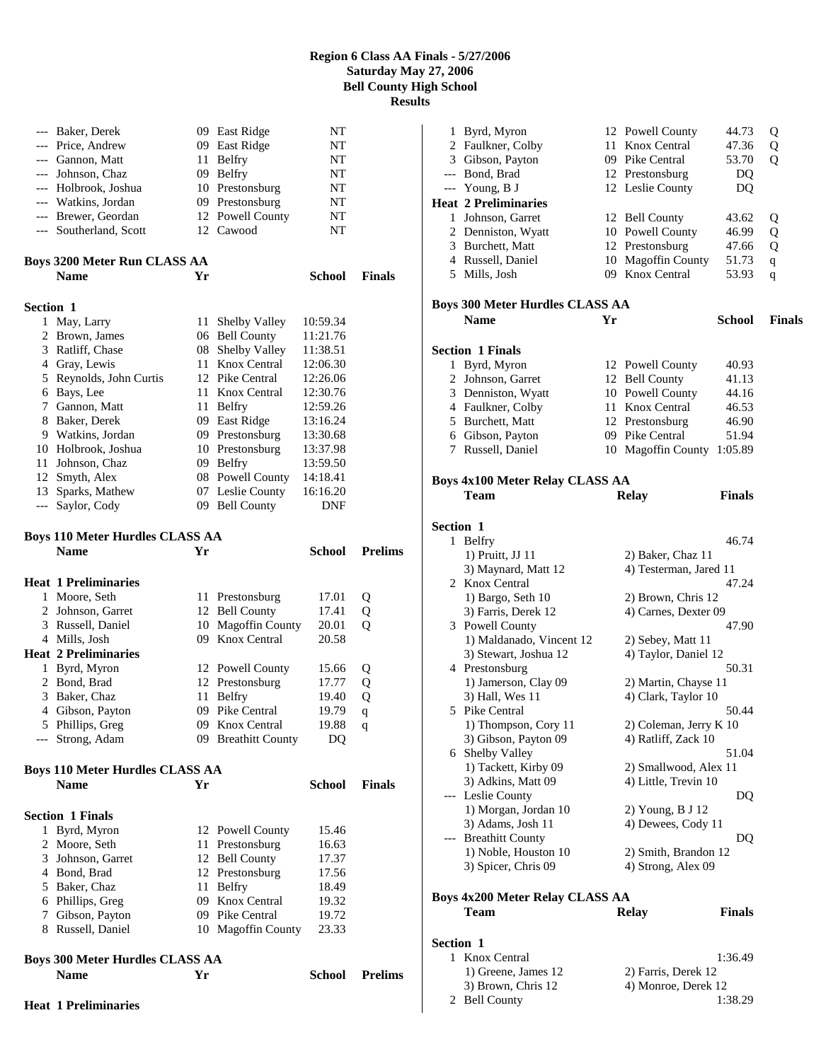|                  | <b>Name</b>                                | Yr   |                                    | School               | <b>Prelims</b> |
|------------------|--------------------------------------------|------|------------------------------------|----------------------|----------------|
|                  | Boys 300 Meter Hurdles CLASS AA            |      |                                    |                      |                |
|                  |                                            |      |                                    |                      |                |
|                  | 8 Russell, Daniel                          |      | 10 Magoffin County                 | 23.33                |                |
| 7                | Gibson, Payton                             |      | 09 Pike Central                    | 19.72                |                |
|                  | 6 Phillips, Greg                           |      | 09 Knox Central                    | 19.32                |                |
|                  | 5 Baker, Chaz                              |      | 11 Belfry                          | 18.49                |                |
|                  |                                            |      | 12 Prestonsburg                    |                      |                |
|                  | 4 Bond, Brad                               |      |                                    | 17.56                |                |
| 3                | Johnson, Garret                            |      | 12 Bell County                     | 17.37                |                |
| 2                | Moore, Seth                                |      | 11 Prestonsburg                    | 16.63                |                |
| 1                | Byrd, Myron                                |      | 12 Powell County                   | 15.46                |                |
|                  | <b>Section 1 Finals</b>                    |      |                                    |                      |                |
|                  | <b>Name</b>                                | Yr   |                                    | <b>School</b>        | <b>Finals</b>  |
|                  | Boys 110 Meter Hurdles CLASS AA            |      |                                    |                      |                |
|                  |                                            |      |                                    |                      |                |
|                  | --- Strong, Adam                           |      | 09 Breathitt County                | DQ                   |                |
|                  | 5 Phillips, Greg                           |      | 09 Knox Central                    | 19.88                | q              |
|                  | 4 Gibson, Payton                           |      | 09 Pike Central                    | 19.79                | q              |
| 3                | Baker, Chaz                                | 11   | Belfry                             | 19.40                | Q              |
|                  | 2 Bond, Brad                               |      | 12 Prestonsburg                    | 17.77                | Q              |
|                  | 1 Byrd, Myron                              |      | 12 Powell County                   | 15.66                | Q              |
|                  | <b>Heat 2 Preliminaries</b>                |      |                                    |                      |                |
|                  | 4 Mills, Josh                              |      | 09 Knox Central                    | 20.58                |                |
|                  | 3 Russell, Daniel                          |      | 10 Magoffin County                 | 20.01                | Q              |
|                  | 2 Johnson, Garret                          |      | 12 Bell County                     | 17.41                | Q              |
| 1                | Moore, Seth                                |      | 11 Prestonsburg                    | 17.01                | Q              |
|                  | <b>Heat 1 Preliminaries</b>                |      |                                    |                      |                |
|                  | <b>Name</b>                                | Yr   |                                    | <b>School</b>        | <b>Prelims</b> |
|                  | <b>Boys 110 Meter Hurdles CLASS AA</b>     |      |                                    |                      |                |
|                  |                                            |      |                                    |                      |                |
| $---$            | Saylor, Cody                               |      | 09 Bell County                     | DNF                  |                |
|                  | 13 Sparks, Mathew                          |      | 07 Leslie County                   | 16:16.20             |                |
|                  | 12 Smyth, Alex                             |      | 08 Powell County                   | 14:18.41             |                |
| 11               | Johnson, Chaz                              |      | 09 Belfry                          | 13:59.50             |                |
|                  | 10 Holbrook, Joshua                        |      | 09 Prestonsburg<br>10 Prestonsburg | 13:30.68<br>13:37.98 |                |
|                  | 9 Watkins, Jordan                          |      |                                    |                      |                |
|                  | 8 Baker, Derek                             |      | 09 East Ridge                      | 13:16.24             |                |
| 7                | 6 Bays, Lee<br>Gannon, Matt                |      | 11 Knox Central<br>11 Belfry       | 12:59.26             |                |
|                  | 5 Reynolds, John Curtis                    |      | 12 Pike Central                    | 12:26.06<br>12:30.76 |                |
|                  | 4 Gray, Lewis                              |      | 11 Knox Central                    | 12:06.30             |                |
|                  | 3 Ratliff, Chase                           | 08   | Shelby Valley                      | 11:38.51             |                |
|                  | 2 Brown, James                             |      | 06 Bell County                     | 11:21.76             |                |
| 1                | May, Larry                                 | 11 - | Shelby Valley                      | 10:59.34             |                |
| <b>Section 1</b> |                                            |      |                                    |                      |                |
|                  |                                            |      |                                    |                      |                |
|                  | <b>Name</b>                                | Yr   |                                    | School               | <b>Finals</b>  |
|                  | <b>Boys 3200 Meter Run CLASS AA</b>        |      |                                    |                      |                |
|                  |                                            |      |                                    |                      |                |
|                  | --- Southerland, Scott                     |      | 12 Powell County<br>12 Cawood      | NT<br>NT             |                |
|                  | --- Watkins, Jordan<br>--- Brewer, Geordan |      | 09 Prestonsburg                    | NT                   |                |
|                  | --- Holbrook, Joshua                       |      | 10 Prestonsburg                    | NT                   |                |
|                  | --- Johnson, Chaz                          |      | 09 Belfry                          | NT                   |                |
|                  | --- Gannon, Matt                           |      | 11 Belfry                          | NT                   |                |
|                  | --- Price, Andrew                          |      | 09 East Ridge                      | NT                   |                |
|                  | --- Baker, Derek                           |      | 09 East Ridge                      | NT                   |                |
|                  |                                            |      |                                    |                      |                |

|           | 1 Byrd, Myron                               |    | 12 Powell County       | 44.73         | Q             |
|-----------|---------------------------------------------|----|------------------------|---------------|---------------|
|           | 2 Faulkner, Colby                           |    | 11 Knox Central        | 47.36         | Q             |
|           | 3 Gibson, Payton                            |    | 09 Pike Central        | 53.70         | Q             |
|           | --- Bond, Brad                              |    | 12 Prestonsburg        | DQ            |               |
|           | --- Young, B J                              |    | 12 Leslie County       | DQ            |               |
|           | <b>Heat 2 Preliminaries</b>                 |    |                        |               |               |
|           | 1 Johnson, Garret                           |    | 12 Bell County         | 43.62         | Q             |
|           | 2 Denniston, Wyatt                          |    | 10 Powell County       | 46.99         | Q             |
|           | 3 Burchett, Matt                            |    | 12 Prestonsburg        | 47.66         | Q             |
|           | 4 Russell, Daniel                           |    | 10 Magoffin County     | 51.73         | q             |
|           | 5 Mills, Josh                               |    | 09 Knox Central        | 53.93         | q             |
|           |                                             |    |                        |               |               |
|           | <b>Boys 300 Meter Hurdles CLASS AA</b>      |    |                        |               |               |
|           | <b>Name</b>                                 | Yr |                        | School        | <b>Finals</b> |
|           |                                             |    |                        |               |               |
|           | <b>Section 1 Finals</b>                     |    |                        |               |               |
|           | 1 Byrd, Myron                               |    | 12 Powell County       | 40.93         |               |
|           | 2 Johnson, Garret                           |    | 12 Bell County         | 41.13         |               |
|           | 3 Denniston, Wyatt                          |    | 10 Powell County       | 44.16         |               |
|           | 4 Faulkner, Colby                           |    | 11 Knox Central        | 46.53         |               |
|           | 5 Burchett, Matt                            |    | 12 Prestonsburg        | 46.90         |               |
|           | 6 Gibson, Payton                            |    | 09 Pike Central        | 51.94         |               |
|           | 7 Russell, Daniel                           |    | 10 Magoffin County     | 1:05.89       |               |
|           |                                             |    |                        |               |               |
|           | <b>Boys 4x100 Meter Relay CLASS AA</b>      |    |                        |               |               |
|           | Team                                        |    | <b>Relay</b>           | <b>Finals</b> |               |
|           |                                             |    |                        |               |               |
| Section 1 |                                             |    |                        |               |               |
|           | 1 Belfry                                    |    |                        | 46.74         |               |
|           | 1) Pruitt, JJ 11                            |    | 2) Baker, Chaz 11      |               |               |
|           | 3) Maynard, Matt 12                         |    | 4) Testerman, Jared 11 |               |               |
|           | 2 Knox Central                              |    |                        | 47.24         |               |
|           | 1) Bargo, Seth 10                           |    | 2) Brown, Chris 12     |               |               |
|           | 3) Farris, Derek 12                         |    | 4) Carnes, Dexter 09   | 47.90         |               |
|           | 3 Powell County<br>1) Maldanado, Vincent 12 |    | 2) Sebey, Matt 11      |               |               |
|           | 3) Stewart, Joshua 12                       |    | 4) Taylor, Daniel 12   |               |               |
|           | 4 Prestonsburg                              |    |                        | 50.31         |               |
|           | 1) Jamerson, Clay 09                        |    | 2) Martin, Chayse 11   |               |               |
|           | 3) Hall, Wes 11                             |    | 4) Clark, Taylor 10    |               |               |
|           | 5 Pike Central                              |    |                        | 50.44         |               |
|           | 1) Thompson, Cory 11                        |    | 2) Coleman, Jerry K 10 |               |               |
|           | 3) Gibson, Payton 09                        |    | 4) Ratliff, Zack 10    |               |               |
|           | 6 Shelby Valley                             |    |                        | 51.04         |               |
|           | 1) Tackett, Kirby 09                        |    | 2) Smallwood, Alex 11  |               |               |
|           | 3) Adkins, Matt 09                          |    | 4) Little, Trevin 10   |               |               |
|           | --- Leslie County                           |    |                        | DQ            |               |
|           | 1) Morgan, Jordan 10                        |    | 2) Young, B J 12       |               |               |
|           | 3) Adams, Josh 11                           |    | 4) Dewees, Cody 11     |               |               |
| ---       | <b>Breathitt County</b>                     |    |                        | DQ            |               |
|           | 1) Noble, Houston 10                        |    | 2) Smith, Brandon 12   |               |               |
|           | 3) Spicer, Chris 09                         |    | 4) Strong, Alex 09     |               |               |
|           |                                             |    |                        |               |               |
|           | <b>Boys 4x200 Meter Relay CLASS AA</b>      |    |                        |               |               |
|           | Team                                        |    | <b>Relay</b>           | <b>Finals</b> |               |
|           |                                             |    |                        |               |               |
| Section 1 |                                             |    |                        |               |               |
| 1         | Knox Central                                |    |                        | 1:36.49       |               |
|           | 1) Greene, James 12                         |    | 2) Farris, Derek 12    |               |               |
|           | 3) Brown, Chris 12                          |    | 4) Monroe, Derek 12    |               |               |
| 2         | <b>Bell County</b>                          |    |                        | 1:38.29       |               |

**Heat 1 Preliminaries**